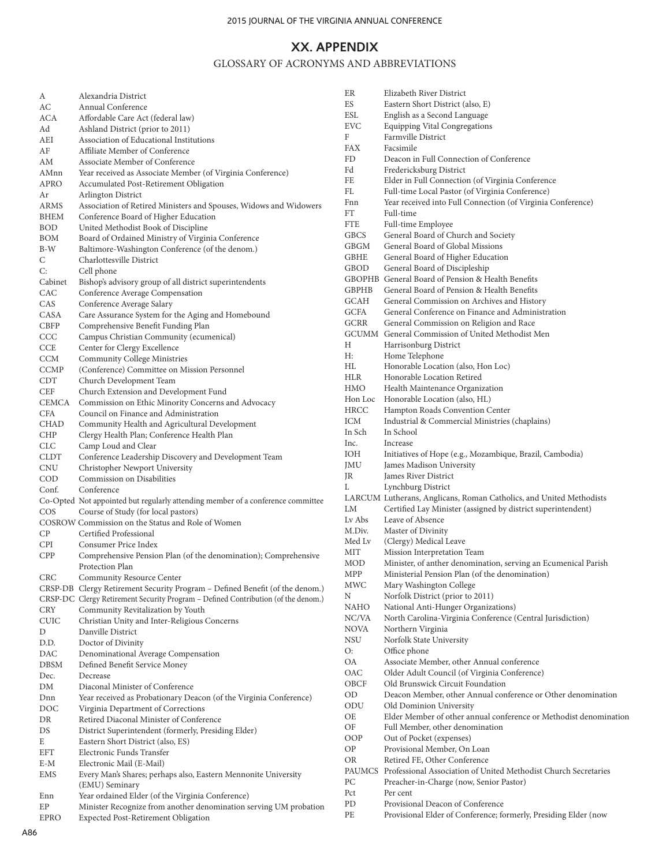## **XX. APPENDIX**

## GLOSSARY OF ACRONYMS AND ABBREVIATIONS

| А           | Alexandria District                                                               |
|-------------|-----------------------------------------------------------------------------------|
| AC          | Annual Conference                                                                 |
| ACA         | Affordable Care Act (federal law)                                                 |
| Ad          | Ashland District (prior to 2011)                                                  |
| AEI         | Association of Educational Institutions                                           |
| AF          | Affiliate Member of Conference                                                    |
| AM          | Associate Member of Conference                                                    |
| AMnn        | Year received as Associate Member (of Virginia Conference)                        |
| APRO        | Accumulated Post-Retirement Obligation                                            |
| Ar          | Arlington District                                                                |
| ARMS        | Association of Retired Ministers and Spouses, Widows and Widowers                 |
| BHEM        | Conference Board of Higher Education                                              |
| BOD         | United Methodist Book of Discipline                                               |
| BOM         | Board of Ordained Ministry of Virginia Conference                                 |
| B-W         | Baltimore-Washington Conference (of the denom.)                                   |
| С           | Charlottesville District                                                          |
| С:          | Cell phone                                                                        |
| Cabinet     | Bishop's advisory group of all district superintendents                           |
| CAC         | Conference Average Compensation                                                   |
| CAS         | Conference Average Salary                                                         |
| CASA        | Care Assurance System for the Aging and Homebound                                 |
| <b>CBFP</b> | Comprehensive Benefit Funding Plan                                                |
| CCC         | Campus Christian Community (ecumenical)                                           |
| CCE         | Center for Clergy Excellence                                                      |
| CCM         | Community College Ministries                                                      |
| <b>CCMP</b> | (Conference) Committee on Mission Personnel                                       |
| CDT         | Church Development Team                                                           |
| CEF         | Church Extension and Development Fund                                             |
| CEMCA       | Commission on Ethic Minority Concerns and Advocacy                                |
| CFA         | Council on Finance and Administration                                             |
| CHAD        | Community Health and Agricultural Development                                     |
| CHP         |                                                                                   |
| CLC         | Clergy Health Plan; Conference Health Plan<br>Camp Loud and Clear                 |
|             |                                                                                   |
| CLDT        | Conference Leadership Discovery and Development Team                              |
| CNU         | Christopher Newport University<br>Commission on Disabilities                      |
| COD         |                                                                                   |
| Conf.       | Conference                                                                        |
|             | Co-Opted Not appointed but regularly attending member of a conference committee   |
| COS         | Course of Study (for local pastors)                                               |
|             | COSROW Commission on the Status and Role of Women                                 |
| СP          | Certified Professional                                                            |
| CPI         | Consumer Price Index                                                              |
| CPP         | Comprehensive Pension Plan (of the denomination); Comprehensive                   |
|             | Protection Plan                                                                   |
| CRC         | <b>Community Resource Center</b>                                                  |
|             | CRSP-DB Clergy Retirement Security Program - Defined Benefit (of the denom.)      |
|             | CRSP-DC Clergy Retirement Security Program - Defined Contribution (of the denom.) |
| CRY         | Community Revitalization by Youth                                                 |
| CUIC        | Christian Unity and Inter-Religious Concerns                                      |
| D           | Danville District                                                                 |
| D.D.        | Doctor of Divinity                                                                |
| DAC         | Denominational Average Compensation                                               |
| DBSM        | Defined Benefit Service Money                                                     |
| Dec.        | Decrease                                                                          |
| DΜ          | Diaconal Minister of Conference                                                   |
| Dnn         | Year received as Probationary Deacon (of the Virginia Conference)                 |
| DOC         | Virginia Department of Corrections                                                |
| DR          | Retired Diaconal Minister of Conference                                           |
| DS          | District Superintendent (formerly, Presiding Elder)                               |
| E           | Eastern Short District (also, ES)                                                 |
| EFT         | Electronic Funds Transfer                                                         |
| E-M         | Electronic Mail (E-Mail)                                                          |
| EMS         | Every Man's Shares; perhaps also, Eastern Mennonite University                    |
|             | (EMU) Seminary                                                                    |
| Enn         | Year ordained Elder (of the Virginia Conference)                                  |
| EP          | Minister Recognize from another denomination serving UM probation                 |
| EPRO        | <b>Expected Post-Retirement Obligation</b>                                        |

| ER         | Elizabeth River District                                                                                       |
|------------|----------------------------------------------------------------------------------------------------------------|
| ES         | Eastern Short District (also, E)                                                                               |
| ESL        | English as a Second Language                                                                                   |
| EVC        | <b>Equipping Vital Congregations</b>                                                                           |
| F          | Farmville District                                                                                             |
| FAX        | Facsimile                                                                                                      |
| FD         | Deacon in Full Connection of Conference                                                                        |
| Fd         | Fredericksburg District                                                                                        |
| FE         | Elder in Full Connection (of Virginia Conference                                                               |
| FL<br>Fnn  | Full-time Local Pastor (of Virginia Conference)<br>Year received into Full Connection (of Virginia Conference) |
| FT         | Full-time                                                                                                      |
| FTE        | Full-time Employee                                                                                             |
| GBCS       | General Board of Church and Society                                                                            |
| GBGM       | General Board of Global Missions                                                                               |
| GBHE       | General Board of Higher Education                                                                              |
| GBOD       | General Board of Discipleship                                                                                  |
|            | GBOPHB General Board of Pension & Health Benefits                                                              |
| GBPHB      | General Board of Pension & Health Benefits                                                                     |
| GCAH       | General Commission on Archives and History                                                                     |
| GCFA       | General Conference on Finance and Administration                                                               |
| GCRR       | General Commission on Religion and Race                                                                        |
|            | GCUMM General Commission of United Methodist Men                                                               |
| Н          | Harrisonburg District                                                                                          |
| Н:         | Home Telephone                                                                                                 |
| HL         | Honorable Location (also, Hon Loc)                                                                             |
| HLR<br>HMO | Honorable Location Retired                                                                                     |
| Hon Loc    | Health Maintenance Organization<br>Honorable Location (also, HL)                                               |
| HRCC       | Hampton Roads Convention Center                                                                                |
| ICM        | Industrial & Commercial Ministries (chaplains)                                                                 |
| In Sch     | In School                                                                                                      |
| Inc.       | Increase                                                                                                       |
| ЮН         | Initiatives of Hope (e.g., Mozambique, Brazil, Cambodia)                                                       |
| JMU        | James Madison University                                                                                       |
| JR         | James River District                                                                                           |
| L          | Lynchburg District                                                                                             |
|            | LARCUM Lutherans, Anglicans, Roman Catholics, and United Methodists                                            |
| LM         | Certified Lay Minister (assigned by district superintendent)                                                   |
| Lv Abs     | Leave of Absence                                                                                               |
| M.Div.     | Master of Divinity                                                                                             |
| Med Lv     | (Clergy) Medical Leave                                                                                         |
| MĽF        | Mission Interpretation Team                                                                                    |
| MOD        | Minister, of anther denomination, serving an Ecumenical Parish                                                 |
| MPP        | Ministerial Pension Plan (of the denomination)                                                                 |
| MWC<br>Ν   | Mary Washington College<br>Norfolk District (prior to 2011)                                                    |
| NAHO       | National Anti-Hunger Organizations)                                                                            |
| NC/VA      | North Carolina-Virginia Conference (Central Jurisdiction)                                                      |
| NOVA       | Northern Virginia                                                                                              |
| NSU        | Norfolk State University                                                                                       |
| О:         | Office phone                                                                                                   |
| OA         | Associate Member, other Annual conference                                                                      |
| OAC        | Older Adult Council (of Virginia Conference)                                                                   |
| OBCF       | Old Brunswick Circuit Foundation                                                                               |
| OD         | Deacon Member, other Annual conference or Other denomination                                                   |
| ODU        | Old Dominion University                                                                                        |
| ОE         | Elder Member of other annual conference or Methodist denomination                                              |
| ОF         | Full Member, other denomination                                                                                |
| OOP        | Out of Pocket (expenses)                                                                                       |
| ΟP         | Provisional Member, On Loan                                                                                    |
| OR         | Retired FE, Other Conference                                                                                   |
|            | PAUMCS Professional Association of United Methodist Church Secretaries                                         |
| PС<br>Pct  | Preacher-in-Charge (now, Senior Pastor)<br>Per cent                                                            |
| PD         | Provisional Deacon of Conference                                                                               |
| РE         | Provisional Elder of Conference; formerly, Presiding Elder (now                                                |
|            |                                                                                                                |